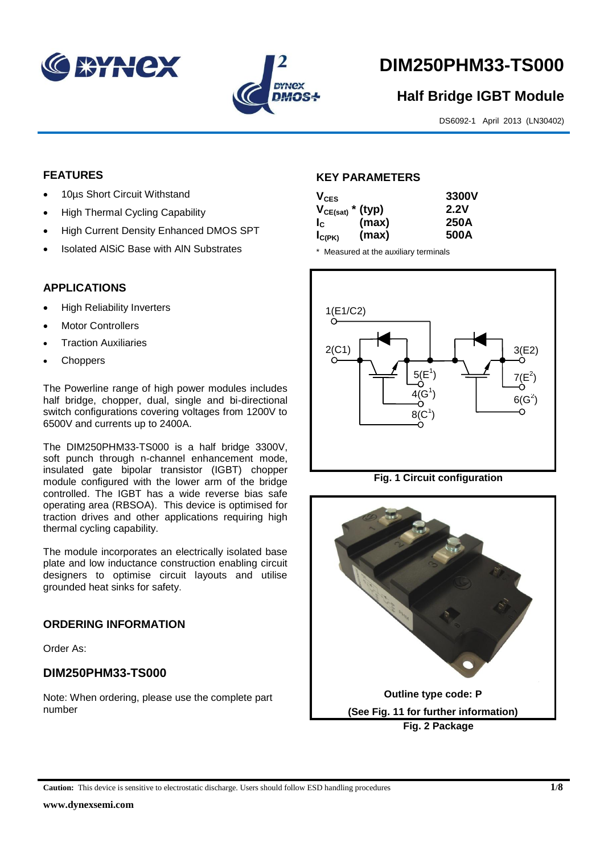



# **DIM250PHM33-TS000**

# **Half Bridge IGBT Module**

DS6092-1 April 2013 (LN30402)

## **FEATURES**

- 10µs Short Circuit Withstand
- High Thermal Cycling Capability
- High Current Density Enhanced DMOS SPT
- Isolated AlSiC Base with AlN Substrates

# **APPLICATIONS**

- High Reliability Inverters
- Motor Controllers
- Traction Auxiliaries
- **Choppers**

The Powerline range of high power modules includes half bridge, chopper, dual, single and bi-directional switch configurations covering voltages from 1200V to 6500V and currents up to 2400A.

The DIM250PHM33-TS000 is a half bridge 3300V, soft punch through n-channel enhancement mode, insulated gate bipolar transistor (IGBT) chopper module configured with the lower arm of the bridge controlled. The IGBT has a wide reverse bias safe operating area (RBSOA). This device is optimised for traction drives and other applications requiring high thermal cycling capability.

The module incorporates an electrically isolated base plate and low inductance construction enabling circuit designers to optimise circuit layouts and utilise grounded heat sinks for safety.

#### **ORDERING INFORMATION**

Order As:

# **DIM250PHM33-TS000**

Note: When ordering, please use the complete part number

#### **KEY PARAMETERS**

| $V_{CES}$             |       | 3300V       |
|-----------------------|-------|-------------|
| $V_{CE(sat)}$ * (typ) |       | 2.2V        |
| $I_{\rm c}$           | (max) | <b>250A</b> |
| $I_{C(PK)}$           | (max) | 500A        |

\* Measured at the auxiliary terminals



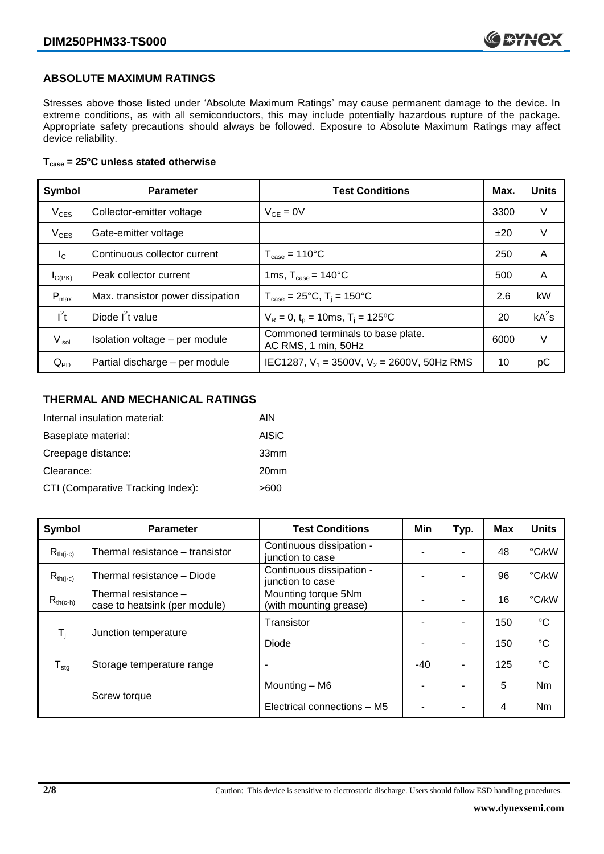#### **ABSOLUTE MAXIMUM RATINGS**

Stresses above those listed under 'Absolute Maximum Ratings' may cause permanent damage to the device. In extreme conditions, as with all semiconductors, this may include potentially hazardous rupture of the package. Appropriate safety precautions should always be followed. Exposure to Absolute Maximum Ratings may affect device reliability.

#### **Tcase = 25°C unless stated otherwise**

| Symbol           | <b>Parameter</b>                  | <b>Test Conditions</b>                                   | Max. | <b>Units</b> |
|------------------|-----------------------------------|----------------------------------------------------------|------|--------------|
| $V_{CES}$        | Collector-emitter voltage         | $V_{GF} = 0V$                                            | 3300 | V            |
| $V_{\text{GES}}$ | Gate-emitter voltage              |                                                          | ±20  | V            |
| $I_{\rm C}$      | Continuous collector current      | $T_{\text{case}} = 110^{\circ}C$                         | 250  | A            |
| $I_{C(PK)}$      | Peak collector current            | 1ms, $T_{\text{case}} = 140^{\circ}$ C                   | 500  | A            |
| $P_{\text{max}}$ | Max. transistor power dissipation | $T_{\text{case}} = 25^{\circ}C$ , $T_i = 150^{\circ}C$   | 2.6  | kW           |
| $l^2t$           | Diode $I2t$ value                 | $V_R = 0$ , $t_p = 10$ ms, $T_i = 125$ °C                | 20   | $kA^2s$      |
| $V_{\sf isol}$   | Isolation voltage - per module    | Commoned terminals to base plate.<br>AC RMS, 1 min, 50Hz | 6000 | $\vee$       |
| $Q_{PD}$         | Partial discharge - per module    | IEC1287, $V_1$ = 3500V, $V_2$ = 2600V, 50Hz RMS          | 10   | рC           |

## **THERMAL AND MECHANICAL RATINGS**

| Internal insulation material:     | AIN              |
|-----------------------------------|------------------|
| Baseplate material:               | <b>AISiC</b>     |
| Creepage distance:                | 33mm             |
| Clearance:                        | 20 <sub>mm</sub> |
| CTI (Comparative Tracking Index): | >600             |

| Symbol                     | <b>Parameter</b>                                      | <b>Test Conditions</b>                        | Min   | Typ.           | <b>Max</b> | <b>Units</b>    |
|----------------------------|-------------------------------------------------------|-----------------------------------------------|-------|----------------|------------|-----------------|
| $R_{th(i-c)}$              | Thermal resistance - transistor                       | Continuous dissipation -<br>junction to case  |       |                | 48         | °C/kW           |
| $R_{th(i-c)}$              | Thermal resistance - Diode                            | Continuous dissipation -<br>junction to case  |       |                | 96         | °C/kW           |
| $R_{th(c-h)}$              | Thermal resistance -<br>case to heatsink (per module) | Mounting torque 5Nm<br>(with mounting grease) |       |                | 16         | °C/kW           |
| $\mathsf{T}_{\mathsf{i}}$  | Junction temperature                                  | Transistor                                    |       |                | 150        | $\rm ^{\circ}C$ |
|                            |                                                       | Diode                                         |       |                | 150        | $^{\circ}C$     |
| ${\mathsf T}_{\text{stg}}$ | Storage temperature range                             | $\overline{\phantom{a}}$                      | $-40$ | -              | 125        | $\rm ^{\circ}C$ |
|                            | Screw torque                                          | Mounting - M6                                 |       | $\blacksquare$ | 5          | <b>Nm</b>       |
|                            |                                                       | Electrical connections - M5                   |       |                | 4          | <b>Nm</b>       |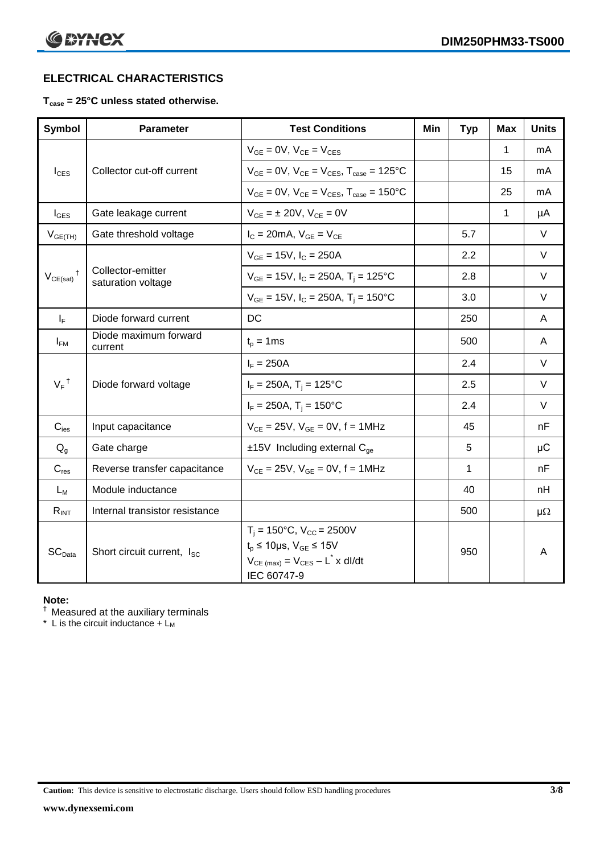# **ELECTRICAL CHARACTERISTICS**

#### **Tcase = 25°C unless stated otherwise.**

| Symbol                     | <b>Parameter</b>                        | <b>Test Conditions</b>                                                                                                                             | Min | <b>Typ</b> | <b>Max</b> | <b>Units</b> |
|----------------------------|-----------------------------------------|----------------------------------------------------------------------------------------------------------------------------------------------------|-----|------------|------------|--------------|
|                            |                                         | $V_{GE} = 0V$ , $V_{CE} = V_{CES}$                                                                                                                 |     |            | 1          | mA           |
| $I_{\text{CES}}$           | Collector cut-off current               | $V_{GE} = 0V$ , $V_{CE} = V_{CES}$ , $T_{case} = 125$ °C                                                                                           |     |            | 15         | mA           |
|                            |                                         | $V_{GE} = 0V$ , $V_{CE} = V_{CES}$ , $T_{case} = 150^{\circ}C$                                                                                     |     |            | 25         | mA           |
| $I_{\text{GES}}$           | Gate leakage current                    | $V_{GE} = \pm 20V$ , $V_{CE} = 0V$                                                                                                                 |     |            | 1          | μA           |
| $V_{GE(TH)}$               | Gate threshold voltage                  | $I_C = 20mA$ , $V_{GF} = V_{CF}$                                                                                                                   |     | 5.7        |            | $\vee$       |
|                            |                                         | $V_{GE}$ = 15V, $I_C$ = 250A                                                                                                                       |     | 2.2        |            | $\vee$       |
| $V_{CE(sat)}$ <sup>†</sup> | Collector-emitter<br>saturation voltage | $V_{GE}$ = 15V, $I_C$ = 250A, $T_i$ = 125°C                                                                                                        |     | 2.8        |            | V            |
|                            |                                         | $V_{GE}$ = 15V, $I_C$ = 250A, $T_i$ = 150°C                                                                                                        |     | 3.0        |            | $\vee$       |
| $I_F$                      | Diode forward current                   | DC                                                                                                                                                 |     | 250        |            | A            |
| $I_{FM}$                   | Diode maximum forward<br>current        | $t_{p} = 1$ ms                                                                                                                                     |     | 500        |            | A            |
|                            | Diode forward voltage                   | $I_F = 250A$                                                                                                                                       |     | 2.4        |            | V            |
| $V_F$ <sup>†</sup>         |                                         | $I_F = 250A$ , T <sub>i</sub> = 125°C                                                                                                              |     | 2.5        |            | $\vee$       |
|                            |                                         | $I_F = 250A$ , T <sub>i</sub> = 150°C                                                                                                              |     | 2.4        |            | V            |
| $C_{\text{ies}}$           | Input capacitance                       | $V_{CE} = 25V$ , $V_{GE} = 0V$ , $f = 1MHz$                                                                                                        |     | 45         |            | nF           |
| $Q_q$                      | Gate charge                             | $±15V$ Including external C <sub>qe</sub>                                                                                                          |     | 5          |            | μC           |
| $C_{res}$                  | Reverse transfer capacitance            | $V_{CF} = 25V$ , $V_{GF} = 0V$ , f = 1MHz                                                                                                          |     | 1          |            | nF           |
| $L_M$                      | Module inductance                       |                                                                                                                                                    |     | 40         |            | nH           |
| $R_{INT}$                  | Internal transistor resistance          |                                                                                                                                                    |     | 500        |            | $\mu\Omega$  |
| SC <sub>Data</sub>         | Short circuit current, I <sub>SC</sub>  | $T_i = 150^{\circ}C$ , $V_{CC} = 2500V$<br>$t_{p} \le 10 \mu s$ , $V_{GE} \le 15V$<br>$V_{CE \ (max)} = V_{CES} - L^* \times dl/dt$<br>IEC 60747-9 |     | 950        |            | A            |

#### **Note:**

 $^{\dagger}$  Measured at the auxiliary terminals

 $*$  L is the circuit inductance +  $L_M$ 

**Caution:** This device is sensitive to electrostatic discharge. Users should follow ESD handling procedures **3/8**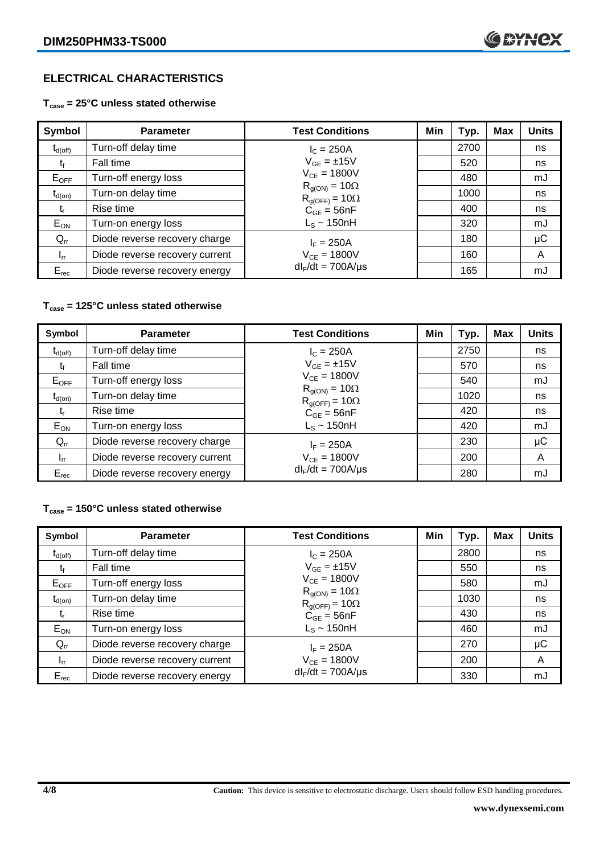# **ELECTRICAL CHARACTERISTICS**

#### **Tcase = 25°C unless stated otherwise**

| Symbol              | <b>Parameter</b>               | <b>Test Conditions</b>                            | Min | Typ. | <b>Max</b> | <b>Units</b> |
|---------------------|--------------------------------|---------------------------------------------------|-----|------|------------|--------------|
| $t_{d(\text{off})}$ | Turn-off delay time            | $I_c = 250A$                                      |     | 2700 |            | ns           |
| t                   | Fall time                      | $V_{GF} = \pm 15V$                                |     | 520  |            | ns           |
| $E_{OFF}$           | Turn-off energy loss           | $V_{CE} = 1800V$                                  |     | 480  |            | mJ           |
| $t_{d(on)}$         | Turn-on delay time             | $R_{q(ON)} = 10\Omega$<br>$R_{g(OFF)} = 10\Omega$ |     | 1000 |            | ns           |
| t,                  | Rise time                      | $C_{GE} = 56nF$                                   |     | 400  |            | ns           |
| $E_{ON}$            | Turn-on energy loss            | $L_s \sim 150$ nH                                 |     | 320  |            | mJ           |
| $Q_{rr}$            | Diode reverse recovery charge  | $I_F = 250A$                                      |     | 180  |            | $\mu$ C      |
| $I_{rr}$            | Diode reverse recovery current | $V_{CE} = 1800V$                                  |     | 160  |            | A            |
| $E_{rec}$           | Diode reverse recovery energy  | $dl_F/dt = 700A/\mu s$                            |     | 165  |            | mJ           |

#### **Tcase = 125°C unless stated otherwise**

| Symbol              | <b>Parameter</b>               | <b>Test Conditions</b>                            | Min | Typ. | Max | <b>Units</b> |
|---------------------|--------------------------------|---------------------------------------------------|-----|------|-----|--------------|
| $t_{d(\text{off})}$ | Turn-off delay time            | $I_c = 250A$                                      |     | 2750 |     | ns           |
| Ţ,                  | Fall time                      | $V_{GE} = \pm 15V$                                |     | 570  |     | ns           |
| $E_{OFF}$           | Turn-off energy loss           | $V_{CE} = 1800V$                                  |     | 540  |     | mJ           |
| $t_{d(on)}$         | Turn-on delay time             | $R_{g(ON)} = 10\Omega$<br>$R_{g(OFF)} = 10\Omega$ |     | 1020 |     | ns           |
| $t_{r}$             | Rise time                      | $C_{GE} = 56nF$                                   |     | 420  |     | ns           |
| $E_{ON}$            | Turn-on energy loss            | $L_s \sim 150$ nH                                 |     | 420  |     | mJ           |
| $Q_{rr}$            | Diode reverse recovery charge  | $I_F = 250A$                                      |     | 230  |     | μC           |
| $I_{rr}$            | Diode reverse recovery current | $V_{CE} = 1800V$                                  |     | 200  |     | A            |
| $E_{rec}$           | Diode reverse recovery energy  | $dl_F/dt = 700A/\mu s$                            |     | 280  |     | mJ           |

#### **Tcase = 150°C unless stated otherwise**

| Symbol              | <b>Parameter</b>               | <b>Test Conditions</b>                            | Min | Typ. | <b>Max</b> | <b>Units</b> |
|---------------------|--------------------------------|---------------------------------------------------|-----|------|------------|--------------|
| $t_{d(\text{off})}$ | Turn-off delay time            | $I_{C} = 250A$                                    |     | 2800 |            | ns           |
| t,                  | Fall time                      | $V_{GF} = \pm 15V$                                |     | 550  |            | ns           |
| $E_{\text{OFF}}$    | Turn-off energy loss           | $V_{CF} = 1800V$                                  |     | 580  |            | mJ           |
| $t_{d(on)}$         | Turn-on delay time             | $R_{g(ON)} = 10\Omega$<br>$R_{g(OFF)} = 10\Omega$ |     | 1030 |            | ns           |
| $t_{r}$             | Rise time                      | $C_{GE} = 56nF$                                   |     | 430  |            | ns           |
| $E_{ON}$            | Turn-on energy loss            | $L_s \sim 150$ nH                                 |     | 460  |            | mJ           |
| $Q_{rr}$            | Diode reverse recovery charge  | $I_F = 250A$                                      |     | 270  |            | μC           |
| $I_{rr}$            | Diode reverse recovery current | $V_{CE} = 1800V$                                  |     | 200  |            | A            |
| $E_{rec}$           | Diode reverse recovery energy  | $dl_F/dt = 700A/\mu s$                            |     | 330  |            | mJ           |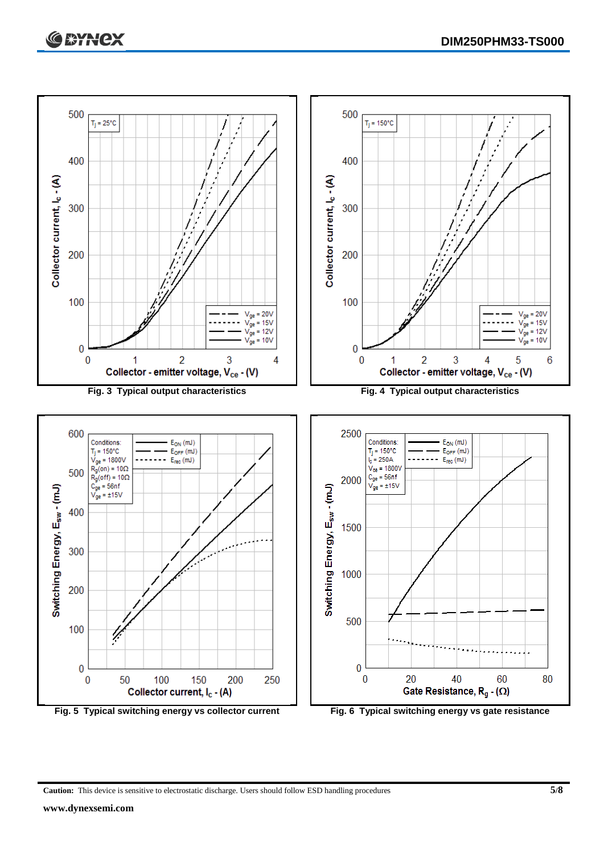

**Caution:** This device is sensitive to electrostatic discharge. Users should follow ESD handling procedures **5/8**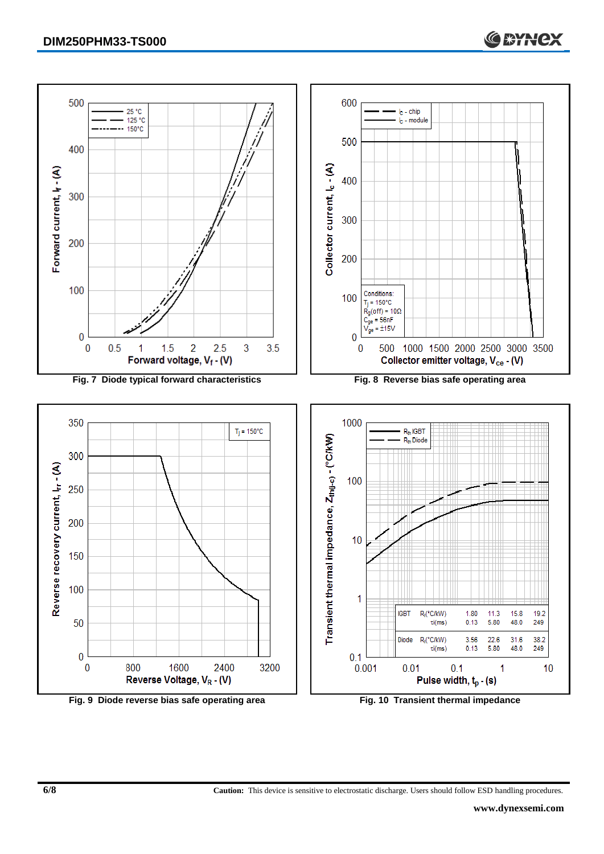

**Fig. 9 Diode reverse bias safe operating area Fig. 10 Transient thermal impedance**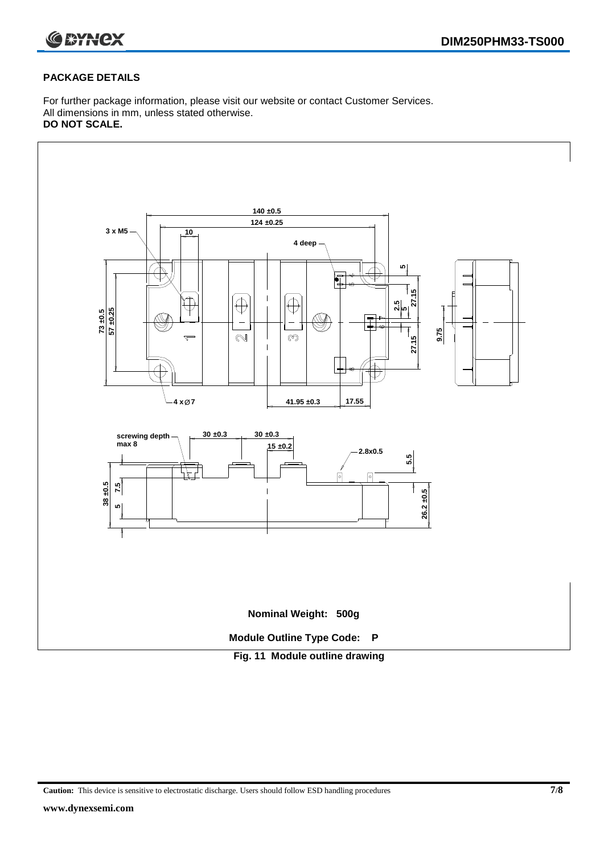

#### **PACKAGE DETAILS**

For further package information, please visit our website or contact Customer Services. All dimensions in mm, unless stated otherwise. **DO NOT SCALE.**



**Caution:** This device is sensitive to electrostatic discharge. Users should follow ESD handling procedures **7/8**